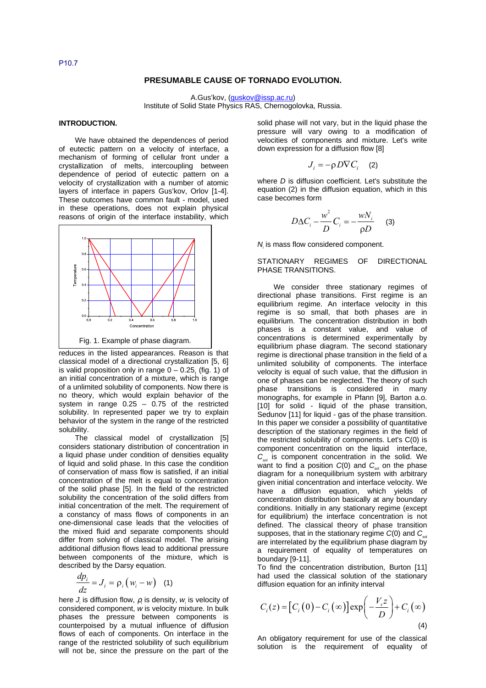## **PRESUMABLE CAUSE OF TORNADO EVOLUTION.**

A.Gus'kov, (guskov@issp.ac.ru)

Institute of Solid State Physics RAS, Chernogolovka, Russia.

## **INTRODUCTION.**

We have obtained the dependences of period of eutectic pattern on a velocity of interface, a mechanism of forming of cellular front under a crystallization of melts, intercoupling between dependence of period of eutectic pattern on a velocity of crystallization with a number of atomic layers of interface in papers Gus'kov, Orlov [1-4]. These outcomes have common fault - model, used in these operations, does not explain physical reasons of origin of the interface instability, which



reduces in the listed appearances. Reason is that classical model of a directional crystallization [5, 6] is valid proposition only in range  $0-0.25$ <sub>1</sub> (fig. 1) of an initial concentration of a mixture, which is range of a unlimited solubility of components. Now there is no theory, which would explain behavior of the system in range  $0.25 - 0.75$  of the restricted solubility. In represented paper we try to explain behavior of the system in the range of the restricted solubility.

The classical model of crystallization [5] considers stationary distribution of concentration in a liquid phase under condition of densities equality of liquid and solid phase. In this case the condition of conservation of mass flow is satisfied, if an initial concentration of the melt is equal to concentration of the solid phase [5]. In the field of the restricted solubility the concentration of the solid differs from initial concentration of the melt. The requirement of a constancy of mass flows of components in an one-dimensional case leads that the velocities of the mixed fluid and separate components should differ from solving of classical model. The arising additional diffusion flows lead to additional pressure between components of the mixture, which is described by the Darsy equation.

$$
\frac{dp_i}{dz} = J_i = \rho_i \left( w_i - w \right) \quad (1)
$$

here  $J_i$  is diffusion flow,  $\rho_i$  is density,  $w_i$  is velocity of considered component, w is velocity mixture. In bulk phases the pressure between components is counterpoised by a mutual influence of diffusion flows of each of components. On interface in the range of the restricted solubility of such equilibrium will not be, since the pressure on the part of the

solid phase will not vary, but in the liquid phase the pressure will vary owing to a modification of velocities of components and mixture. Let's write down expression for a diffusion flow [8]

$$
J_i = -\rho D \nabla C_i \quad (2)
$$

where D is diffusion coefficient. Let's substitute the equation (2) in the diffusion equation, which in this case becomes form

$$
D\Delta C_i - \frac{w^2}{D}C_i = -\frac{wN_i}{\rho D} \qquad (3)
$$

 $N_i$  is mass flow considered component.

#### STATIONARY REGIMES OF DIRECTIONAL PHASE TRANSITIONS.

We consider three stationary regimes of directional phase transitions. First regime is an equilibrium regime. An interface velocity in this regime is so small, that both phases are in equilibrium. The concentration distribution in both phases is a constant value, and value of concentrations is determined experimentally by equilibrium phase diagram. The second stationary regime is directional phase transition in the field of a unlimited solubility of components. The interface velocity is equal of such value, that the diffusion in one of phases can be neglected. The theory of such phase transitions is considered in many monographs, for example in Pfann [9], Barton a.o. [10] for solid - liquid of the phase transition, Sedunov [11] for liquid - gas of the phase transition. In this paper we consider a possibility of quantitative description of the stationary regimes in the field of the restricted solubility of components. Let's C(0) is component concentration on the liquid interface,  $C_{\text{est}}$  is component concentration in the solid. We want to find a position  $C(0)$  and  $C_{sol}$  on the phase diagram for a nonequilibrium system with arbitrary given initial concentration and interface velocity. We have a diffusion equation, which yields of concentration distribution basically at any boundary conditions. Initially in any stationary regime (except for equilibrium) the interface concentration is not defined. The classical theory of phase transition supposes, that in the stationary regime  $C(0)$  and  $C_{\text{sat}}$ are interrelated by the equilibrium phase diagram by a requirement of equality of temperatures on boundary [9-11].

To find the concentration distribution, Burton [11] had used the classical solution of the stationary diffusion equation for an infinity interval

$$
C_i(z) = \left[C_i(0) - C_i(\infty)\right] \exp\left(-\frac{V_s z}{D}\right) + C_i(\infty)
$$
\n(4)

An obligatory requirement for use of the classical solution is the requirement of equality of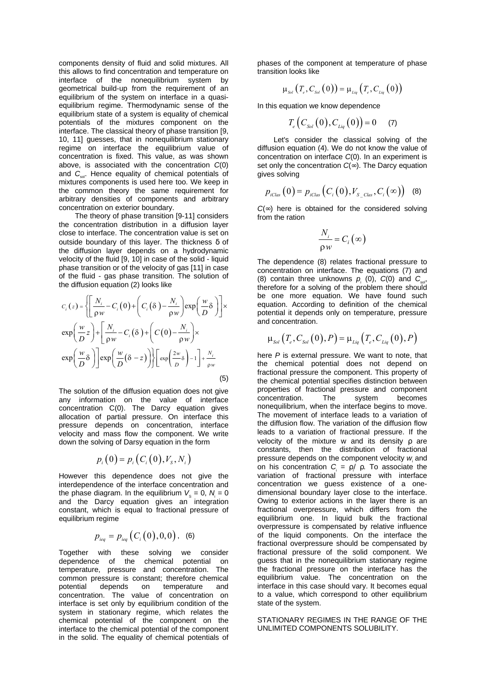components density of fluid and solid mixtures. All this allows to find concentration and temperature on interface of the nonequilibrium system by geometrical build-up from the requirement of an equilibrium of the system on interface in a quasiequilibrium regime. Thermodynamic sense of the equilibrium state of a system is equality of chemical potentials of the mixtures component on the interface. The classical theory of phase transition [9, 10, 11] guesses, that in nonequilibrium stationary regime on interface the equilibrium value of concentration is fixed. This value, as was shown above, is associated with the concentration C(0) and  $C_{sol}$ . Hence equality of chemical potentials of mixtures components is used here too. We keep in the common theory the same requirement for arbitrary densities of components and arbitrary concentration on exterior boundary.

The theory of phase transition [9-11] considers the concentration distribution in a diffusion layer close to interface. The concentration value is set on outside boundary of this layer. The thickness δ of the diffusion layer depends on a hydrodynamic velocity of the fluid [9, 10] in case of the solid - liquid phase transition or of the velocity of gas [11] in case of the fluid - gas phase transition. The solution of the diffusion equation (2) looks like

$$
C_i(z) = \left\{ \left[ \frac{N_i}{\rho w} - C_i(0) + \left( C_i(\delta) - \frac{N_i}{\rho w} \right) \exp\left( \frac{w}{D} \delta \right) \right] \times \exp\left( \frac{w}{D} z \right) + \left[ \frac{N_i}{\rho w} - C_i(\delta) + \left( C(0) - \frac{N_i}{\rho w} \right) \times \exp\left( \frac{w}{D} \delta \right) \right] \exp\left( \frac{w}{D} (\delta - z) \right) \right\} \left[ \exp\left( \frac{2w}{D} \delta \right) - 1 \right] + \frac{N_i}{\rho w}
$$
\n(5)

The solution of the diffusion equation does not give any information on the value of interface concentration C(0). The Darcy equation gives allocation of partial pressure. On interface this pressure depends on concentration, interface velocity and mass flow the component. We write down the solving of Darsy equation in the form

$$
p_i(0) = p_i(C_i(0), V_s, N_i)
$$

However this dependence does not give the interdependence of the interface concentration and the phase diagram. In the equilibrium  $V_s = 0$ ,  $N_i = 0$ and the Darcy equation gives an integration constant, which is equal to fractional pressure of equilibrium regime

$$
p_{_{ieq}} = p_{_{ieq}}(C_i(0), 0, 0), (6)
$$

Together with these solving we consider dependence of the chemical potential on temperature, pressure and concentration. The common pressure is constant; therefore chemical<br>potential depends on temperature and depends on temperature and concentration. The value of concentration on interface is set only by equilibrium condition of the system in stationary regime, which relates the chemical potential of the component on the interface to the chemical potential of the component in the solid. The equality of chemical potentials of

phases of the component at temperature of phase transition looks like

$$
\mu_{_{Sol}}\left(T_{_e},C_{_{Sol}}\left(0\right)\right)=\mu_{_{Liq}}\left(T_{_e},C_{_{Liq}}\left(0\right)\right)
$$

In this equation we know dependence

$$
T_e(C_{Sol}(0), C_{Liq}(0)) = 0 \qquad (7)
$$

Let's consider the classical solving of the diffusion equation (4). We do not know the value of concentration on interface C(0). In an experiment is set only the concentration  $C(\infty)$ . The Darcy equation gives solving

$$
p_{iClas}(0) = p_{iClas}(C_i(0), V_{S_CClas}, C_i(\infty)) \quad (8)
$$

 $C(\infty)$  here is obtained for the considered solving from the ration

$$
\frac{N_i}{\rho w} = C_i(\infty)
$$

The dependence (8) relates fractional pressure to concentration on interface. The equations (7) and (8) contain three unknowns  $p_i$  (0),  $C(0)$  and  $C_{\text{sol}}$ , therefore for a solving of the problem there should be one more equation. We have found such equation. According to definition of the chemical potential it depends only on temperature, pressure and concentration.

$$
\mu_{\text{Sol}}\left(T_e, C_{\text{Sol}}(0), P\right) = \mu_{\text{Liq}}\left(T_e, C_{\text{Liq}}(0), P\right)
$$

here P is external pressure. We want to note, that the chemical potential does not depend on fractional pressure the component. This property of the chemical potential specifies distinction between properties of fractional pressure and component concentration. The system becomes nonequilibrium, when the interface begins to move. The movement of interface leads to a variation of the diffusion flow. The variation of the diffusion flow leads to a variation of fractional pressure. If the velocity of the mixture w and its density ρ are constants, then the distribution of fractional pressure depends on the component velocity wiand on his concentration  $C_i = \rho / \rho$ . To associate the variation of fractional pressure with interface concentration we guess existence of a onedimensional boundary layer close to the interface. Owing to exterior actions in the layer there is an fractional overpressure, which differs from the equilibrium one. In liquid bulk the fractional overpressure is compensated by relative influence of the liquid components. On the interface the fractional overpressure should be compensated by fractional pressure of the solid component. We guess that in the nonequilibrium stationary regime the fractional pressure on the interface has the equilibrium value. The concentration on the interface in this case should vary. It becomes equal to a value, which correspond to other equilibrium state of the system.

STATIONARY REGIMES IN THE RANGE OF THE UNLIMITED COMPONENTS SOLUBILITY.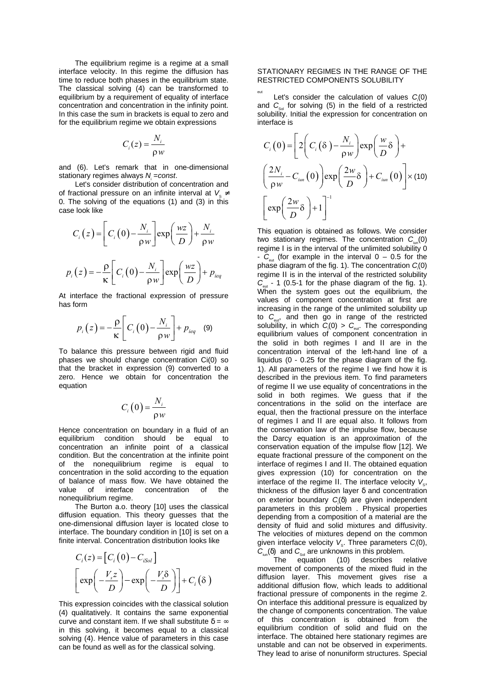The equilibrium regime is a regime at a small interface velocity. In this regime the diffusion has time to reduce both phases in the equilibrium state. The classical solving (4) can be transformed to equilibrium by a requirement of equality of interface concentration and concentration in the infinity point. In this case the sum in brackets is equal to zero and for the equilibrium regime we obtain expressions

$$
C_i(z) = \frac{N_i}{\rho w}
$$

and (6). Let's remark that in one-dimensional stationary regimes always N<sub>i</sub>=const.

Let's consider distribution of concentration and of fractional pressure on an infinite interval at  $V_{\alpha} \neq$ 0. The solving of the equations (1) and (3) in this case look like

$$
C_i(z) = \left[C_i(0) - \frac{N_i}{\rho w}\right] \exp\left(\frac{wz}{D}\right) + \frac{N_i}{\rho w}
$$

$$
p_i(z) = -\frac{\rho}{\kappa} \left[C_i(0) - \frac{N_i}{\rho w}\right] \exp\left(\frac{wz}{D}\right) + p_{i\neq j}
$$

At interface the fractional expression of pressure has form

$$
p_i(z) = -\frac{\rho}{\kappa} \left[ C_i(0) - \frac{N_i}{\rho w} \right] + p_{ieq} \quad (9)
$$

To balance this pressure between rigid and fluid phases we should change concentration Ci(0) so that the bracket in expression (9) converted to a zero. Hence we obtain for concentration the equation

$$
C_i(0) = \frac{N_i}{\rho w}
$$

Hence concentration on boundary in a fluid of an equilibrium condition should be equal to concentration an infinite point of a classical condition. But the concentration at the infinite point of the nonequilibrium regime is equal to concentration in the solid according to the equation of balance of mass flow. We have obtained the value of interface concentration of the nonequilibrium regime.

The Burton a.o. theory [10] uses the classical diffusion equation. This theory guesses that the one-dimensional diffusion layer is located close to interface. The boundary condition in [10] is set on a finite interval. Concentration distribution looks like

$$
C_i(z) = [C_i(0) - C_{iSol}]
$$
  
\n
$$
\left[ exp\left(-\frac{V_s z}{D}\right) - exp\left(-\frac{V_s \delta}{D}\right) \right] + C_i(\delta)
$$

This expression coincides with the classical solution (4) qualitatively. It contains the same exponential curve and constant item. If we shall substitute  $\delta = \infty$ in this solving, it becomes equal to a classical solving (4). Hence value of parameters in this case can be found as well as for the classical solving.

## STATIONARY REGIMES IN THE RANGE OF THE RESTRICTED COMPONENTS SOLUBILITY

eut Let's consider the calculation of values  $C_i(0)$ and  $C_{\rm sol}$  for solving (5) in the field of a restricted solubility. Initial the expression for concentration on interface is

$$
C_i(0) = \left[2\left(C_i(\delta) - \frac{N_i}{\rho w}\right) \exp\left(\frac{w}{D}\delta\right) + \left(\frac{2N_i}{\rho w} - C_{ium}(0)\right) \exp\left(\frac{2w}{D}\delta\right) + C_{ium}(0)\right] \times (10)
$$

$$
\left[\exp\left(\frac{2w}{D}\delta\right) + 1\right]^{-1}
$$

This equation is obtained as follows. We consider two stationary regimes. The concentration  $C_{\text{in}}(0)$ regime Ι is in the interval of the unlimited solubility 0 -  $C_{\text{out}}$  (for example in the interval  $0 - 0.5$  for the phase diagram of the fig. 1). The concentration  $C_i(0)$ regime ΙΙ is in the interval of the restricted solubility  $C_{\text{out}}$  - 1 (0.5-1 for the phase diagram of the fig. 1). When the system goes out the equilibrium, the values of component concentration at first are increasing in the range of the unlimited solubility up to  $C_{\text{ext}}$ , and then go in range of the restricted solubility, in which  $C_i(0) > C_{\text{cut}}$ . The corresponding equilibrium values of component concentration in the solid in both regimes Ι and ΙΙ are in the concentration interval of the left-hand line of a liquidus (0 - 0.25 for the phase diagram of the fig. 1). All parameters of the regime Ι we find how it is described in the previous item. To find parameters of regime ΙΙ we use equality of concentrations in the solid in both regimes. We guess that if the concentrations in the solid on the interface are equal, then the fractional pressure on the interface of regimes Ι and ΙΙ are equal also. It follows from the conservation law of the impulse flow, because the Darcy equation is an approximation of the conservation equation of the impulse flow [12]. We equate fractional pressure of the component on the interface of regimes Ι and ΙΙ. The obtained equation gives expression (10) for concentration on the interface of the regime II. The interface velocity  $V_{\rm s}$ , thickness of the diffusion layer δ and concentration on exterior boundary  $C_i(\delta)$  are given independent parameters in this problem . Physical properties depending from a composition of a material are the density of fluid and solid mixtures and diffusivity. The velocities of mixtures depend on the common given interface velocity  $V_{\rm s}$ . Three parameters  $C_{\rm i}$ (0),  $C_{\text{tan}}(\delta)$  and  $C_{\text{sol}}$  are unknowns in this problem.

The equation (10) describes relative movement of components of the mixed fluid in the diffusion layer. This movement gives rise a additional diffusion flow, which leads to additional fractional pressure of components in the regime 2. On interface this additional pressure is equalized by the change of components concentration. The value of this concentration is obtained from the equilibrium condition of solid and fluid on the interface. The obtained here stationary regimes are unstable and can not be observed in experiments. They lead to arise of nonuniform structures. Special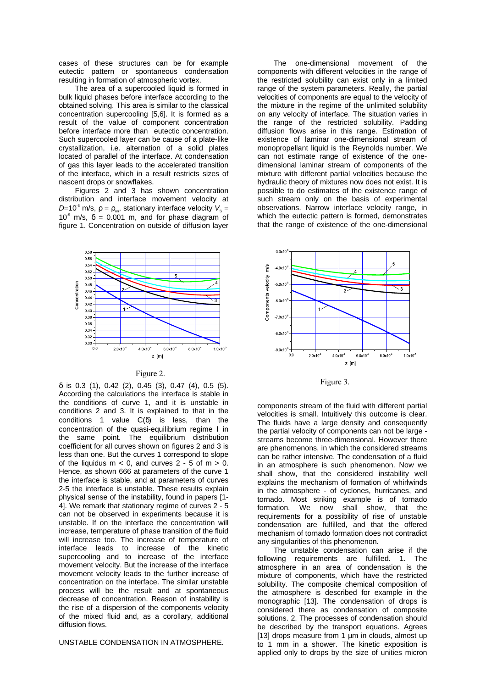cases of these structures can be for example eutectic pattern or spontaneous condensation resulting in formation of atmospheric vortex.

The area of a supercooled liquid is formed in bulk liquid phases before interface according to the obtained solving. This area is similar to the classical concentration supercooling [5,6]. It is formed as a result of the value of component concentration before interface more than eutectic concentration. Such supercooled layer can be cause of a plate-like crystallization, i.e. alternation of a solid plates located of parallel of the interface. At condensation of gas this layer leads to the accelerated transition of the interface, which in a result restricts sizes of nascent drops or snowflakes.

Figures 2 and 3 has shown concentration distribution and interface movement velocity at D=10<sup>8</sup> m/s,  $ρ = ρ_{\text{ms}}$ , stationary interface velocity  $V_s =$  $10^5$  m/s,  $\delta = 0.001$  m, and for phase diagram of figure 1. Concentration on outside of diffusion layer



Figure 2.

δ is 0.3 (1), 0.42 (2), 0.45 (3), 0.47 (4), 0.5 (5). According the calculations the interface is stable in the conditions of curve 1, and it is unstable in conditions 2 and 3. It is explained to that in the conditions 1 value C(δ) is less, than the concentration of the quasi-equilibrium regime Ι in the same point. The equilibrium distribution coefficient for all curves shown on figures 2 and 3 is less than one. But the curves 1 correspond to slope of the liquidus  $m < 0$ , and curves  $2 - 5$  of  $m > 0$ . Hence, as shown 666 at parameters of the curve 1 the interface is stable, and at parameters of curves 2-5 the interface is unstable. These results explain physical sense of the instability, found in papers [1- 4]. We remark that stationary regime of curves 2 - 5 can not be observed in experiments because it is unstable. If on the interface the concentration will increase, temperature of phase transition of the fluid will increase too. The increase of temperature of interface leads to increase of the kinetic supercooling and to increase of the interface movement velocity. But the increase of the interface movement velocity leads to the further increase of concentration on the interface. The similar unstable process will be the result and at spontaneous decrease of concentration. Reason of instability is the rise of a dispersion of the components velocity of the mixed fluid and, as a corollary, additional diffusion flows.

UNSTABLE CONDENSATION IN ATMOSPHERE.

The one-dimensional movement of the components with different velocities in the range of the restricted solubility can exist only in a limited range of the system parameters. Really, the partial velocities of components are equal to the velocity of the mixture in the regime of the unlimited solubility on any velocity of interface. The situation varies in the range of the restricted solubility. Padding diffusion flows arise in this range. Estimation of existence of laminar one-dimensional stream of monopropellant liquid is the Reynolds number. We can not estimate range of existence of the onedimensional laminar stream of components of the mixture with different partial velocities because the hydraulic theory of mixtures now does not exist. It is possible to do estimates of the existence range of such stream only on the basis of experimental observations. Narrow interface velocity range, in which the eutectic pattern is formed, demonstrates that the range of existence of the one-dimensional



Figure 3.

components stream of the fluid with different partial velocities is small. Intuitively this outcome is clear. The fluids have a large density and consequently the partial velocity of components can not be large streams become three-dimensional. However there are phenomenons, in which the considered streams can be rather intensive. The condensation of a fluid in an atmosphere is such phenomenon. Now we shall show, that the considered instability well explains the mechanism of formation of whirlwinds in the atmosphere - of cyclones, hurricanes, and tornado. Most striking example is of tornado formation. We now shall show, that the requirements for a possibility of rise of unstable condensation are fulfilled, and that the offered mechanism of tornado formation does not contradict any singularities of this phenomenon.

The unstable condensation can arise if the following requirements are fulfilled. 1. The atmosphere in an area of condensation is the mixture of components, which have the restricted solubility. The composite chemical composition of the atmosphere is described for example in the monographic [13]. The condensation of drops is considered there as condensation of composite solutions. 2. The processes of condensation should be described by the transport equations. Agrees [13] drops measure from 1  $\mu$ m in clouds, almost up to 1 mm in a shower. The kinetic exposition is applied only to drops by the size of unities micron